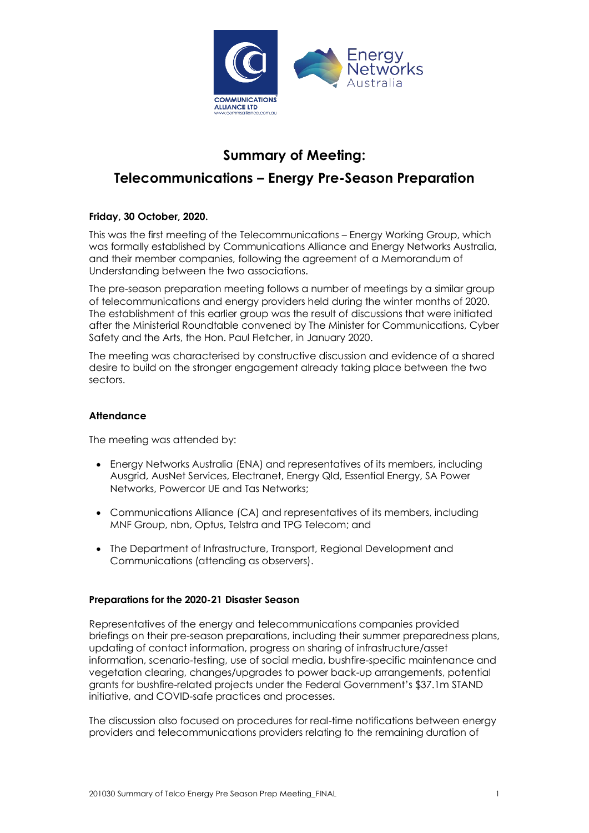

# **Summary of Meeting:**

## **Telecommunications – Energy Pre-Season Preparation**

### **Friday, 30 October, 2020.**

This was the first meeting of the Telecommunications – Energy Working Group, which was formally established by Communications Alliance and Energy Networks Australia, and their member companies, following the agreement of a Memorandum of Understanding between the two associations.

The pre-season preparation meeting follows a number of meetings by a similar group of telecommunications and energy providers held during the winter months of 2020. The establishment of this earlier group was the result of discussions that were initiated after the Ministerial Roundtable convened by The Minister for Communications, Cyber Safety and the Arts, the Hon. Paul Fletcher, in January 2020.

The meeting was characterised by constructive discussion and evidence of a shared desire to build on the stronger engagement already taking place between the two sectors.

#### **Attendance**

The meeting was attended by:

- Energy Networks Australia (ENA) and representatives of its members, including Ausgrid, AusNet Services, Electranet, Energy Qld, Essential Energy, SA Power Networks, Powercor UE and Tas Networks;
- Communications Alliance (CA) and representatives of its members, including MNF Group, nbn, Optus, Telstra and TPG Telecom; and
- The Department of Infrastructure, Transport, Regional Development and Communications (attending as observers).

#### **Preparations for the 2020-21 Disaster Season**

Representatives of the energy and telecommunications companies provided briefings on their pre-season preparations, including their summer preparedness plans, updating of contact information, progress on sharing of infrastructure/asset information, scenario-testing, use of social media, bushfire-specific maintenance and vegetation clearing, changes/upgrades to power back-up arrangements, potential grants for bushfire-related projects under the Federal Government's \$37.1m STAND initiative, and COVID-safe practices and processes.

The discussion also focused on procedures for real-time notifications between energy providers and telecommunications providers relating to the remaining duration of